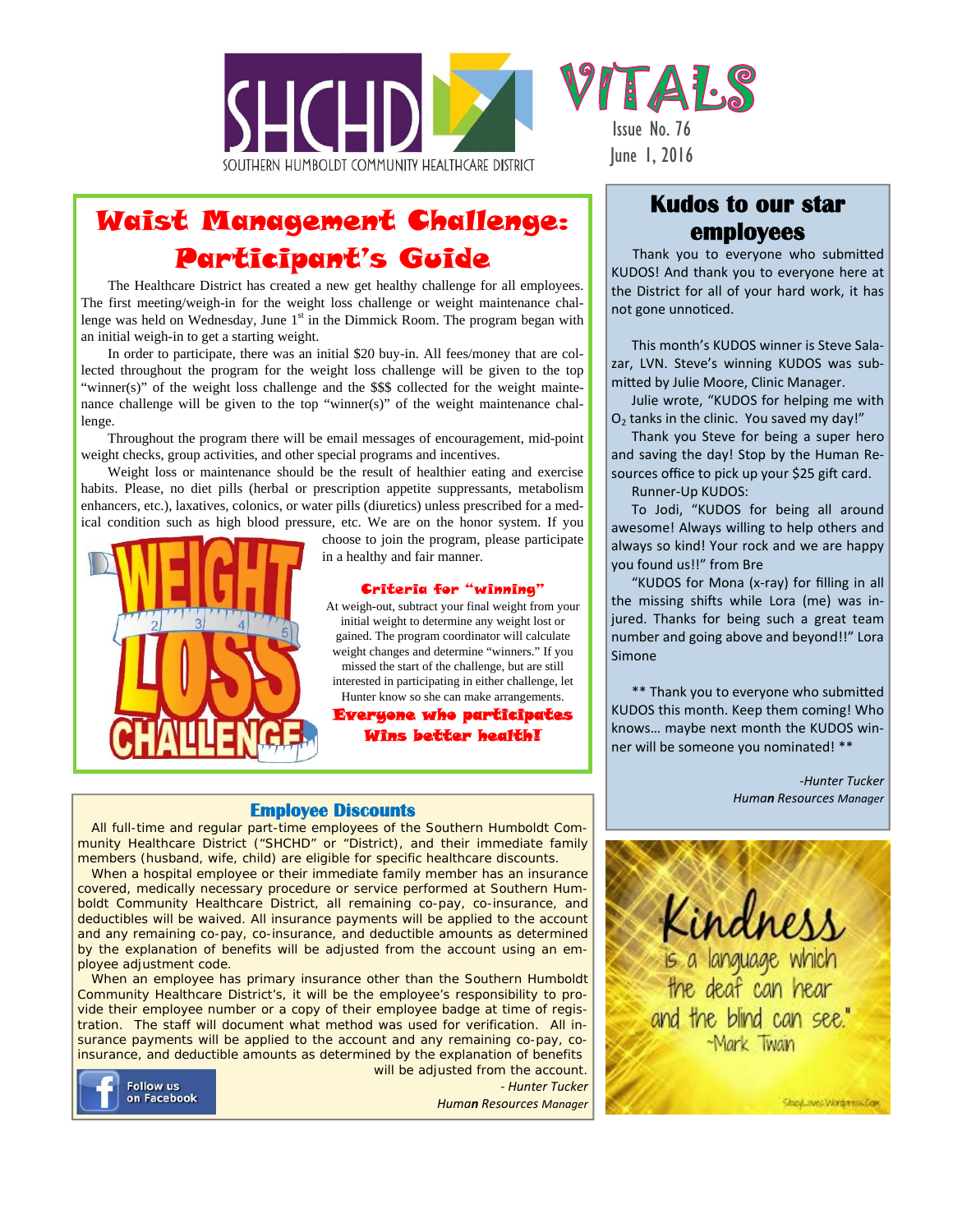

# Waist Management Challenge: Participant's Guide

The Healthcare District has created a new get healthy challenge for all employees. The first meeting/weigh-in for the weight loss challenge or weight maintenance challenge was held on Wednesday, June  $1<sup>st</sup>$  in the Dimmick Room. The program began with an initial weigh-in to get a starting weight.

In order to participate, there was an initial \$20 buy-in. All fees/money that are collected throughout the program for the weight loss challenge will be given to the top "winner(s)" of the weight loss challenge and the \$\$\$ collected for the weight maintenance challenge will be given to the top "winner(s)" of the weight maintenance challenge.

Throughout the program there will be email messages of encouragement, mid-point weight checks, group activities, and other special programs and incentives.

Weight loss or maintenance should be the result of healthier eating and exercise habits. Please, no diet pills (herbal or prescription appetite suppressants, metabolism enhancers, etc.), laxatives, colonics, or water pills (diuretics) unless prescribed for a medical condition such as high blood pressure, etc. We are on the honor system. If you



choose to join the program, please participate in a healthy and fair manner.

### Criteria for "winning"

At weigh-out, subtract your final weight from your initial weight to determine any weight lost or gained. The program coordinator will calculate weight changes and determine "winners." If you missed the start of the challenge, but are still interested in participating in either challenge, let Hunter know so she can make arrangements.

Everyone who participates Wins better health!

### **Employee Discounts**

All full-time and regular part-time employees of the Southern Humboldt Community Healthcare District ("SHCHD" or "District), and their immediate family members (husband, wife, child) are eligible for specific healthcare discounts.

When a hospital employee or their immediate family member has an insurance covered, medically necessary procedure or service performed at Southern Humboldt Community Healthcare District, all remaining co-pay, co-insurance, and deductibles will be waived. All insurance payments will be applied to the account and any remaining co-pay, co-insurance, and deductible amounts as determined by the explanation of benefits will be adjusted from the account using an employee adjustment code.

When an employee has primary insurance other than the Southern Humboldt Community Healthcare District's, it will be the employee's responsibility to provide their employee number or a copy of their employee badge at time of registration. The staff will document what method was used for verification. All insurance payments will be applied to the account and any remaining co-pay, coinsurance, and deductible amounts as determined by the explanation of benefits



will be adjusted from the account. *‐ Hunter Tucker Human Resources Manager* 

### **Kudos to our star employees**

Thank you to everyone who submitted KUDOS! And thank you to everyone here at the District for all of your hard work, it has not gone unnoticed.

This month's KUDOS winner is Steve Salazar, LVN. Steve's winning KUDOS was submitted by Julie Moore, Clinic Manager.

Julie wrote, "KUDOS for helping me with  $O<sub>2</sub>$  tanks in the clinic. You saved my day!"

Thank you Steve for being a super hero and saving the day! Stop by the Human Resources office to pick up your \$25 gift card.

Runner-Up KUDOS:

To Jodi, "KUDOS for being all around awesome! Always willing to help others and always so kind! Your rock and we are happy you found us!!" from Bre

"KUDOS for Mona (x-ray) for filling in all the missing shifts while Lora (me) was injured. Thanks for being such a great team number and going above and beyond!!" Lora Simone

\*\* Thank you to everyone who submitted KUDOS this month. Keep them coming! Who knows… maybe next month the KUDOS winner will be someone you nominated! \*\*

> *‐Hunter Tucker Human Resources Manager*



StopLaves Wordwares Daw